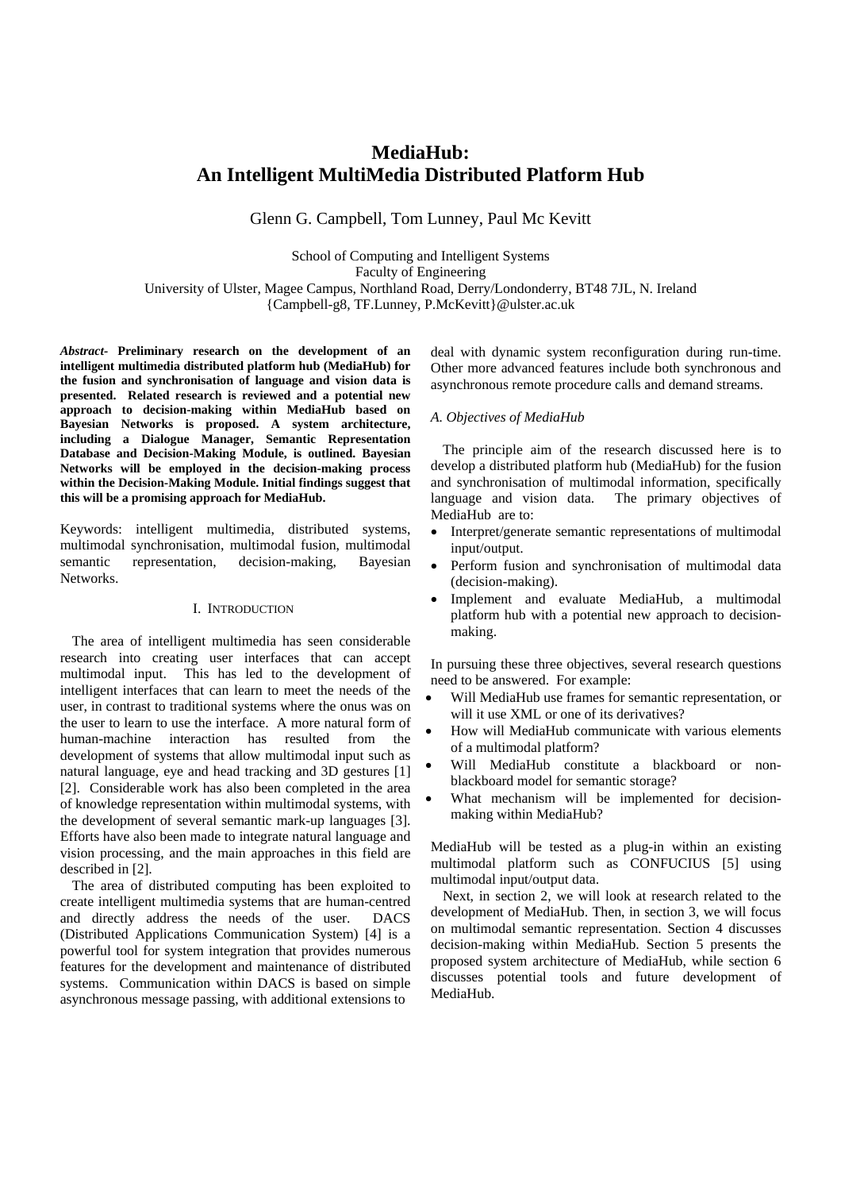# **MediaHub: An Intelligent MultiMedia Distributed Platform Hub**

Glenn G. Campbell, Tom Lunney, Paul Mc Kevitt

School of Computing and Intelligent Systems Faculty of Engineering University of Ulster, Magee Campus, Northland Road, Derry/Londonderry, BT48 7JL, N. Ireland {Campbell-g8, TF.Lunney, P.McKevitt}@ulster.ac.uk

*Abstract-* **Preliminary research on the development of an intelligent multimedia distributed platform hub (MediaHub) for the fusion and synchronisation of language and vision data is presented. Related research is reviewed and a potential new approach to decision-making within MediaHub based on Bayesian Networks is proposed. A system architecture, including a Dialogue Manager, Semantic Representation Database and Decision-Making Module, is outlined. Bayesian Networks will be employed in the decision-making process within the Decision-Making Module. Initial findings suggest that this will be a promising approach for MediaHub.** 

Keywords: intelligent multimedia, distributed systems, multimodal synchronisation, multimodal fusion, multimodal semantic representation, decision-making, Bayesian Networks.

# I. INTRODUCTION

 The area of intelligent multimedia has seen considerable research into creating user interfaces that can accept multimodal input. This has led to the development of intelligent interfaces that can learn to meet the needs of the user, in contrast to traditional systems where the onus was on the user to learn to use the interface. A more natural form of human-machine interaction has resulted from the development of systems that allow multimodal input such as natural language, eye and head tracking and 3D gestures [1] [2]. Considerable work has also been completed in the area of knowledge representation within multimodal systems, with the development of several semantic mark-up languages [3]. Efforts have also been made to integrate natural language and vision processing, and the main approaches in this field are described in [2].

 The area of distributed computing has been exploited to create intelligent multimedia systems that are human-centred and directly address the needs of the user. DACS (Distributed Applications Communication System) [4] is a powerful tool for system integration that provides numerous features for the development and maintenance of distributed systems. Communication within DACS is based on simple asynchronous message passing, with additional extensions to

deal with dynamic system reconfiguration during run-time. Other more advanced features include both synchronous and asynchronous remote procedure calls and demand streams.

## *A. Objectives of MediaHub*

 The principle aim of the research discussed here is to develop a distributed platform hub (MediaHub) for the fusion and synchronisation of multimodal information, specifically language and vision data. The primary objectives of MediaHub are to:

- Interpret/generate semantic representations of multimodal input/output.
- Perform fusion and synchronisation of multimodal data (decision-making).
- Implement and evaluate MediaHub, a multimodal platform hub with a potential new approach to decisionmaking.

In pursuing these three objectives, several research questions need to be answered. For example:

- Will MediaHub use frames for semantic representation, or will it use XML or one of its derivatives?
- How will MediaHub communicate with various elements of a multimodal platform?
- Will MediaHub constitute a blackboard or nonblackboard model for semantic storage?
- What mechanism will be implemented for decisionmaking within MediaHub?

MediaHub will be tested as a plug-in within an existing multimodal platform such as CONFUCIUS [5] using multimodal input/output data.

 Next, in section 2, we will look at research related to the development of MediaHub. Then, in section 3, we will focus on multimodal semantic representation. Section 4 discusses decision-making within MediaHub. Section 5 presents the proposed system architecture of MediaHub, while section 6 discusses potential tools and future development of MediaHub.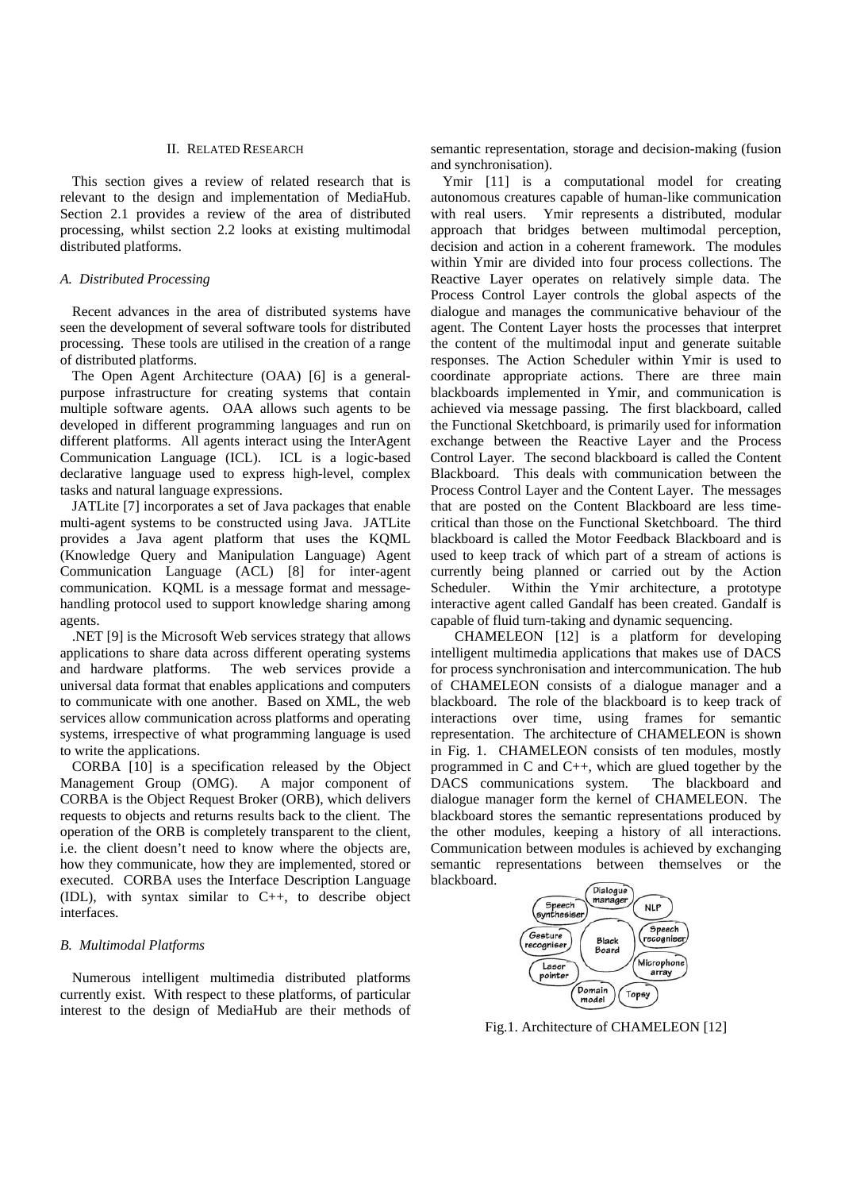## II. RELATED RESEARCH

This section gives a review of related research that is relevant to the design and implementation of MediaHub. Section 2.1 provides a review of the area of distributed processing, whilst section 2.2 looks at existing multimodal distributed platforms.

### *A. Distributed Processing*

Recent advances in the area of distributed systems have seen the development of several software tools for distributed processing. These tools are utilised in the creation of a range of distributed platforms.

The Open Agent Architecture (OAA) [6] is a generalpurpose infrastructure for creating systems that contain multiple software agents. OAA allows such agents to be developed in different programming languages and run on different platforms. All agents interact using the InterAgent Communication Language (ICL). ICL is a logic-based declarative language used to express high-level, complex tasks and natural language expressions.

JATLite [7] incorporates a set of Java packages that enable multi-agent systems to be constructed using Java. JATLite provides a Java agent platform that uses the KQML (Knowledge Query and Manipulation Language) Agent Communication Language (ACL) [8] for inter-agent communication. KQML is a message format and messagehandling protocol used to support knowledge sharing among agents.

.NET [9] is the Microsoft Web services strategy that allows applications to share data across different operating systems and hardware platforms. The web services provide a universal data format that enables applications and computers to communicate with one another. Based on XML, the web services allow communication across platforms and operating systems, irrespective of what programming language is used to write the applications.

CORBA [10] is a specification released by the Object Management Group (OMG). A major component of CORBA is the Object Request Broker (ORB), which delivers requests to objects and returns results back to the client. The operation of the ORB is completely transparent to the client, i.e. the client doesn't need to know where the objects are, how they communicate, how they are implemented, stored or executed. CORBA uses the Interface Description Language (IDL), with syntax similar to C++, to describe object interfaces.

## *B. Multimodal Platforms*

Numerous intelligent multimedia distributed platforms currently exist. With respect to these platforms, of particular interest to the design of MediaHub are their methods of semantic representation, storage and decision-making (fusion and synchronisation). Ymir [11] is a computational model for creating

autonomous creatures capable of human-like communication with real users. Ymir represents a distributed, modular approach that bridges between multimodal perception, decision and action in a coherent framework. The modules within Ymir are divided into four process collections. The Reactive Layer operates on relatively simple data. The Process Control Layer controls the global aspects of the dialogue and manages the communicative behaviour of the agent. The Content Layer hosts the processes that interpret the content of the multimodal input and generate suitable responses. The Action Scheduler within Ymir is used to coordinate appropriate actions. There are three main blackboards implemented in Ymir, and communication is achieved via message passing. The first blackboard, called the Functional Sketchboard, is primarily used for information exchange between the Reactive Layer and the Process Control Layer. The second blackboard is called the Content Blackboard. This deals with communication between the Process Control Layer and the Content Layer. The messages that are posted on the Content Blackboard are less timecritical than those on the Functional Sketchboard. The third blackboard is called the Motor Feedback Blackboard and is used to keep track of which part of a stream of actions is currently being planned or carried out by the Action Scheduler. Within the Ymir architecture, a prototype interactive agent called Gandalf has been created. Gandalf is capable of fluid turn-taking and dynamic sequencing.

CHAMELEON [12] is a platform for developing intelligent multimedia applications that makes use of DACS for process synchronisation and intercommunication. The hub of CHAMELEON consists of a dialogue manager and a blackboard. The role of the blackboard is to keep track of interactions over time, using frames for semantic representation. The architecture of CHAMELEON is shown in Fig. 1. CHAMELEON consists of ten modules, mostly programmed in C and C++, which are glued together by the DACS communications system. The blackboard and dialogue manager form the kernel of CHAMELEON. The blackboard stores the semantic representations produced by the other modules, keeping a history of all interactions. Communication between modules is achieved by exchanging semantic representations between themselves or the blackboard.



Fig.1. Architecture of CHAMELEON [12]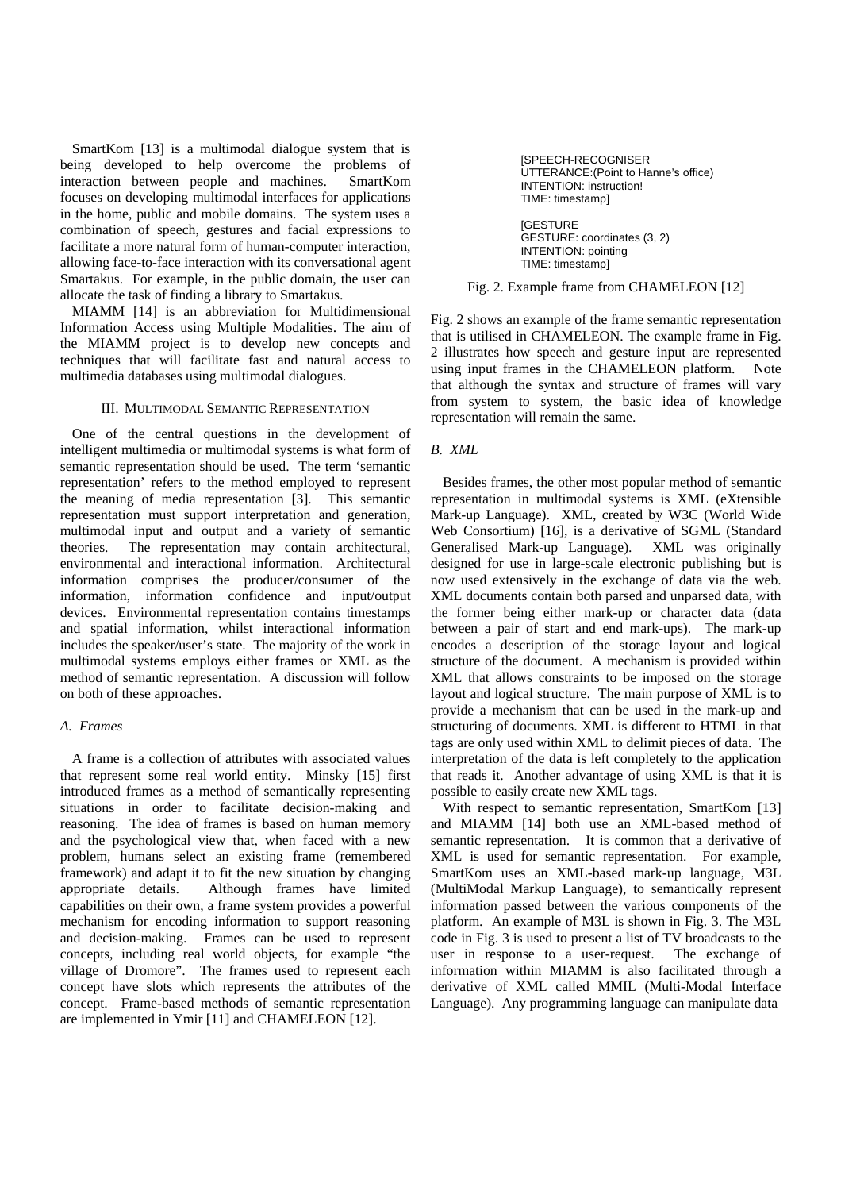SmartKom [13] is a multimodal dialogue system that is being developed to help overcome the problems of interaction between people and machines. SmartKom focuses on developing multimodal interfaces for applications in the home, public and mobile domains. The system uses a combination of speech, gestures and facial expressions to facilitate a more natural form of human-computer interaction, allowing face-to-face interaction with its conversational agent Smartakus. For example, in the public domain, the user can allocate the task of finding a library to Smartakus.

 MIAMM [14] is an abbreviation for Multidimensional Information Access using Multiple Modalities. The aim of the MIAMM project is to develop new concepts and techniques that will facilitate fast and natural access to multimedia databases using multimodal dialogues.

# III. MULTIMODAL SEMANTIC REPRESENTATION

 One of the central questions in the development of intelligent multimedia or multimodal systems is what form of semantic representation should be used. The term 'semantic representation' refers to the method employed to represent the meaning of media representation [3]. This semantic representation must support interpretation and generation, multimodal input and output and a variety of semantic theories. The representation may contain architectural, environmental and interactional information. Architectural information comprises the producer/consumer of the information, information confidence and input/output devices. Environmental representation contains timestamps and spatial information, whilst interactional information includes the speaker/user's state. The majority of the work in multimodal systems employs either frames or XML as the method of semantic representation. A discussion will follow on both of these approaches.

## *A. Frames*

 A frame is a collection of attributes with associated values that represent some real world entity. Minsky [15] first introduced frames as a method of semantically representing situations in order to facilitate decision-making and reasoning. The idea of frames is based on human memory and the psychological view that, when faced with a new problem, humans select an existing frame (remembered framework) and adapt it to fit the new situation by changing appropriate details. Although frames have limited capabilities on their own, a frame system provides a powerful mechanism for encoding information to support reasoning and decision-making. Frames can be used to represent concepts, including real world objects, for example "the village of Dromore". The frames used to represent each concept have slots which represents the attributes of the concept. Frame-based methods of semantic representation are implemented in Ymir [11] and CHAMELEON [12].

[SPEECH-RECOGNISER UTTERANCE:(Point to Hanne's office) INTENTION: instruction! TIME: timestamp]

[GESTURE GESTURE: coordinates (3, 2) INTENTION: pointing TIME: timestamp]

Fig. 2. Example frame from CHAMELEON [12]

Fig. 2 shows an example of the frame semantic representation that is utilised in CHAMELEON. The example frame in Fig. 2 illustrates how speech and gesture input are represented using input frames in the CHAMELEON platform. Note that although the syntax and structure of frames will vary from system to system, the basic idea of knowledge representation will remain the same.

## *B. XML*

 Besides frames, the other most popular method of semantic representation in multimodal systems is XML (eXtensible Mark-up Language). XML, created by W3C (World Wide Web Consortium) [16], is a derivative of SGML (Standard Generalised Mark-up Language). XML was originally designed for use in large-scale electronic publishing but is now used extensively in the exchange of data via the web. XML documents contain both parsed and unparsed data, with the former being either mark-up or character data (data between a pair of start and end mark-ups). The mark-up encodes a description of the storage layout and logical structure of the document. A mechanism is provided within XML that allows constraints to be imposed on the storage layout and logical structure. The main purpose of XML is to provide a mechanism that can be used in the mark-up and structuring of documents. XML is different to HTML in that tags are only used within XML to delimit pieces of data. The interpretation of the data is left completely to the application that reads it. Another advantage of using XML is that it is possible to easily create new XML tags.

With respect to semantic representation, SmartKom [13] and MIAMM [14] both use an XML-based method of semantic representation. It is common that a derivative of XML is used for semantic representation. For example, SmartKom uses an XML-based mark-up language, M3L (MultiModal Markup Language), to semantically represent information passed between the various components of the platform. An example of M3L is shown in Fig. 3. The M3L code in Fig. 3 is used to present a list of TV broadcasts to the user in response to a user-request. The exchange of information within MIAMM is also facilitated through a derivative of XML called MMIL (Multi-Modal Interface Language). Any programming language can manipulate data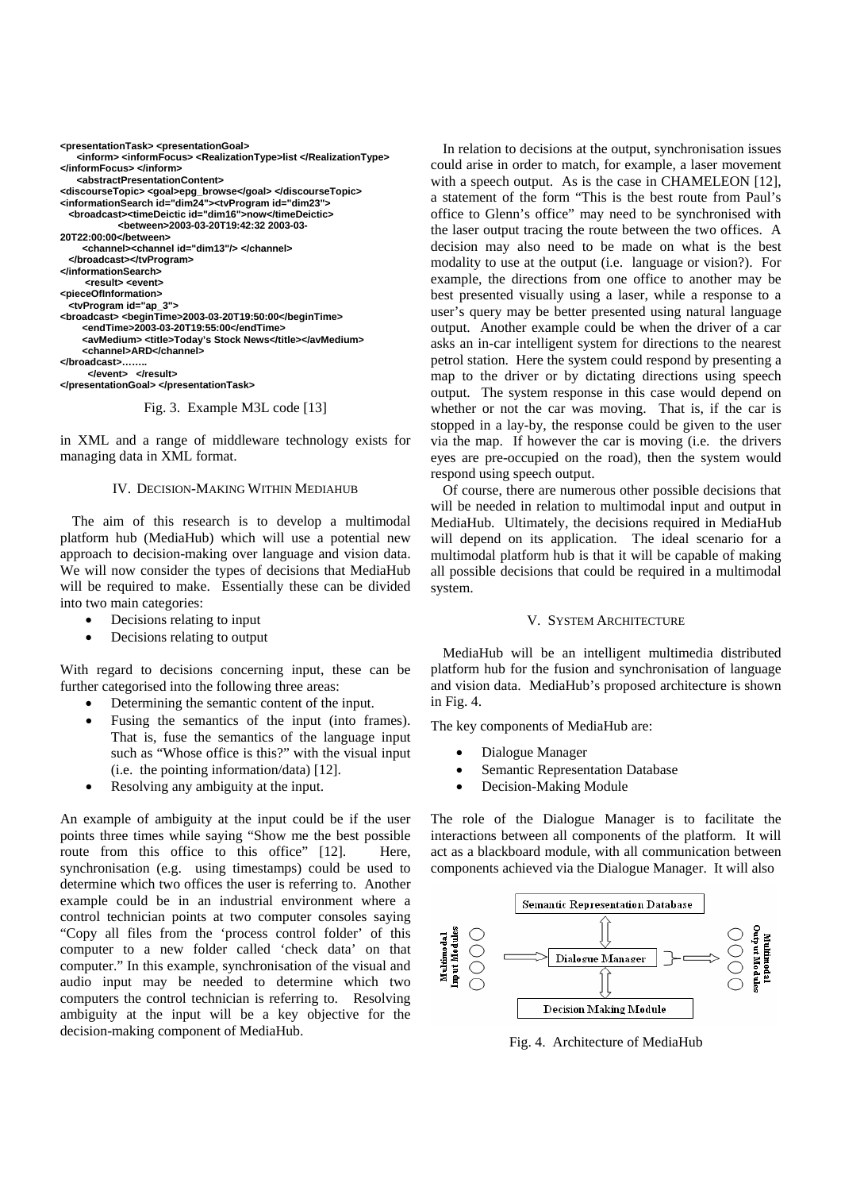```
<presentationTask> <presentationGoal>
     <inform> <informFocus> <RealizationType>list </RealizationType> 
</informFocus> </inform> 
    <abstractPresentationContent> 
<discourseTopic> <goal>epg_browse</goal> </discourseTopic> 
<informationSearch id="dim24"><tvProgram id="dim23"> 
   <broadcast><timeDeictic id="dim16">now</timeDeictic> 
             <between>2003-03-20T19:42:32 2003-03-
20T22:00:00</between> 
      <channel><channel id="dim13"/> </channel>
   </broadcast></tvProgram> 
</informationSearch> 
      <result> <event>
<pieceOfInformation> 
   <tvProgram id="ap_3"> 
<broadcast> <beginTime>2003-03-20T19:50:00</beginTime> 
      <endTime>2003-03-20T19:55:00</endTime> 
      <avMedium> <title>Today's Stock News</title></avMedium> 
     <channel>ARD</channel>
</broadcast>…….. 
       </event> </result>
</presentationGoal> </presentationTask>
```
Fig. 3. Example M3L code [13]

in XML and a range of middleware technology exists for managing data in XML format.

# IV. DECISION-MAKING WITHIN MEDIAHUB

The aim of this research is to develop a multimodal platform hub (MediaHub) which will use a potential new approach to decision-making over language and vision data. We will now consider the types of decisions that MediaHub will be required to make. Essentially these can be divided into two main categories:

- Decisions relating to input
- Decisions relating to output

With regard to decisions concerning input, these can be further categorised into the following three areas:

- Determining the semantic content of the input.
- Fusing the semantics of the input (into frames). That is, fuse the semantics of the language input such as "Whose office is this?" with the visual input (i.e. the pointing information/data) [12].
- Resolving any ambiguity at the input.

An example of ambiguity at the input could be if the user points three times while saying "Show me the best possible route from this office to this office" [12]. Here, synchronisation (e.g. using timestamps) could be used to determine which two offices the user is referring to. Another example could be in an industrial environment where a control technician points at two computer consoles saying "Copy all files from the 'process control folder' of this computer to a new folder called 'check data' on that computer." In this example, synchronisation of the visual and audio input may be needed to determine which two computers the control technician is referring to. Resolving ambiguity at the input will be a key objective for the decision-making component of MediaHub.

In relation to decisions at the output, synchronisation issues could arise in order to match, for example, a laser movement with a speech output. As is the case in CHAMELEON [12], a statement of the form "This is the best route from Paul's office to Glenn's office" may need to be synchronised with the laser output tracing the route between the two offices. A decision may also need to be made on what is the best modality to use at the output (i.e. language or vision?). For example, the directions from one office to another may be best presented visually using a laser, while a response to a user's query may be better presented using natural language output. Another example could be when the driver of a car asks an in-car intelligent system for directions to the nearest petrol station. Here the system could respond by presenting a map to the driver or by dictating directions using speech output. The system response in this case would depend on whether or not the car was moving. That is, if the car is stopped in a lay-by, the response could be given to the user via the map. If however the car is moving (i.e. the drivers eyes are pre-occupied on the road), then the system would respond using speech output.

Of course, there are numerous other possible decisions that will be needed in relation to multimodal input and output in MediaHub. Ultimately, the decisions required in MediaHub will depend on its application. The ideal scenario for a multimodal platform hub is that it will be capable of making all possible decisions that could be required in a multimodal system.

#### V. SYSTEM ARCHITECTURE

MediaHub will be an intelligent multimedia distributed platform hub for the fusion and synchronisation of language and vision data. MediaHub's proposed architecture is shown in Fig. 4.

The key components of MediaHub are:

- Dialogue Manager
- Semantic Representation Database
- Decision-Making Module

The role of the Dialogue Manager is to facilitate the interactions between all components of the platform. It will act as a blackboard module, with all communication between components achieved via the Dialogue Manager. It will also



Fig. 4. Architecture of MediaHub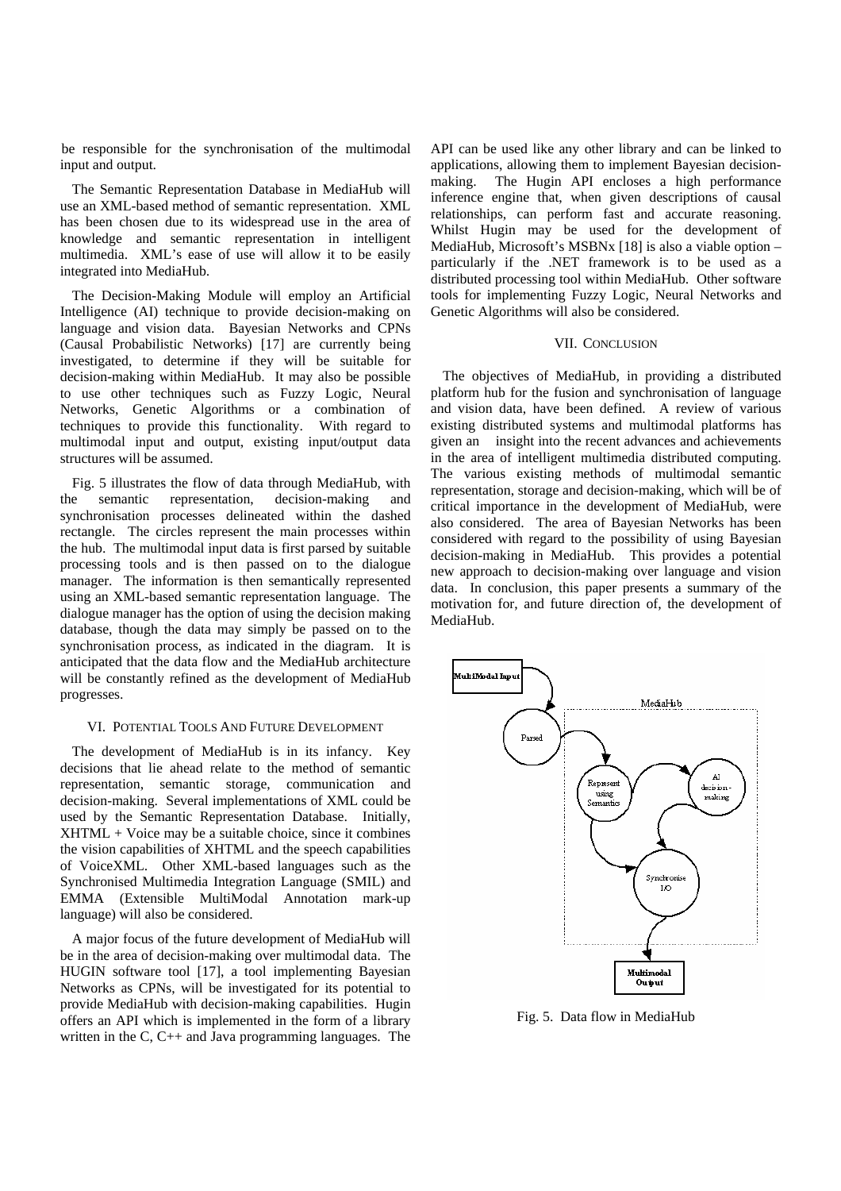be responsible for the synchronisation of the multimodal input and output.

The Semantic Representation Database in MediaHub will use an XML-based method of semantic representation. XML has been chosen due to its widespread use in the area of knowledge and semantic representation in intelligent multimedia. XML's ease of use will allow it to be easily integrated into MediaHub.

The Decision-Making Module will employ an Artificial Intelligence (AI) technique to provide decision-making on language and vision data. Bayesian Networks and CPNs (Causal Probabilistic Networks) [17] are currently being investigated, to determine if they will be suitable for decision-making within MediaHub. It may also be possible to use other techniques such as Fuzzy Logic, Neural Networks, Genetic Algorithms or a combination of techniques to provide this functionality. With regard to multimodal input and output, existing input/output data structures will be assumed.

Fig. 5 illustrates the flow of data through MediaHub, with the semantic representation, decision-making and synchronisation processes delineated within the dashed rectangle. The circles represent the main processes within the hub. The multimodal input data is first parsed by suitable processing tools and is then passed on to the dialogue manager. The information is then semantically represented using an XML-based semantic representation language. The dialogue manager has the option of using the decision making database, though the data may simply be passed on to the synchronisation process, as indicated in the diagram. It is anticipated that the data flow and the MediaHub architecture will be constantly refined as the development of MediaHub progresses.

## VI. POTENTIAL TOOLS AND FUTURE DEVELOPMENT

The development of MediaHub is in its infancy. Key decisions that lie ahead relate to the method of semantic representation, semantic storage, communication and decision-making. Several implementations of XML could be used by the Semantic Representation Database. Initially, XHTML + Voice may be a suitable choice, since it combines the vision capabilities of XHTML and the speech capabilities of VoiceXML. Other XML-based languages such as the Synchronised Multimedia Integration Language (SMIL) and EMMA (Extensible MultiModal Annotation mark-up language) will also be considered.

A major focus of the future development of MediaHub will be in the area of decision-making over multimodal data. The HUGIN software tool [17], a tool implementing Bayesian Networks as CPNs, will be investigated for its potential to provide MediaHub with decision-making capabilities. Hugin offers an API which is implemented in the form of a library written in the C, C++ and Java programming languages. The

API can be used like any other library and can be linked to applications, allowing them to implement Bayesian decisionmaking. The Hugin API encloses a high performance inference engine that, when given descriptions of causal relationships, can perform fast and accurate reasoning. Whilst Hugin may be used for the development of MediaHub, Microsoft's MSBNx [18] is also a viable option – particularly if the .NET framework is to be used as a distributed processing tool within MediaHub. Other software tools for implementing Fuzzy Logic, Neural Networks and Genetic Algorithms will also be considered.

#### VII. CONCLUSION

 The objectives of MediaHub, in providing a distributed platform hub for the fusion and synchronisation of language and vision data, have been defined. A review of various existing distributed systems and multimodal platforms has given an insight into the recent advances and achievements in the area of intelligent multimedia distributed computing. The various existing methods of multimodal semantic representation, storage and decision-making, which will be of critical importance in the development of MediaHub, were also considered. The area of Bayesian Networks has been considered with regard to the possibility of using Bayesian decision-making in MediaHub. This provides a potential new approach to decision-making over language and vision data. In conclusion, this paper presents a summary of the motivation for, and future direction of, the development of MediaHub.



Fig. 5. Data flow in MediaHub